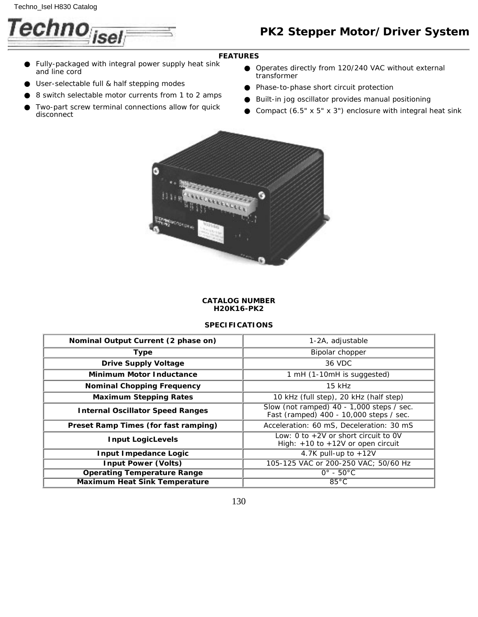

# *PK2 Stepper Motor/Driver System*

## **FEATURES**

- Fully-packaged with integral power supply heat sink and line cord ●
- User-selectable full & half stepping modes
- 8 switch selectable motor currents from 1 to 2 amps
- Two-part screw terminal connections allow for quick disconnect ●
- Operates directly from 120/240 VAC without external transformer
- Phase-to-phase short circuit protection
- Built-in jog oscillator provides manual positioning
- Compact (6.5" x 5" x 3") enclosure with integral heat sink



#### **CATALOG NUMBER H20K16-PK2**

## **SPECIFICATIONS**

| <b>Nominal Output Current (2 phase on)</b>  | 1-2A, adjustable                                                                       |  |  |
|---------------------------------------------|----------------------------------------------------------------------------------------|--|--|
| <b>Type</b>                                 | Bipolar chopper                                                                        |  |  |
| <b>Drive Supply Voltage</b>                 | 36 VDC                                                                                 |  |  |
| <b>Minimum Motor Inductance</b>             | $1 \text{ mH}$ (1-10 mH is suggested)                                                  |  |  |
| <b>Nominal Chopping Frequency</b>           | $15$ kHz                                                                               |  |  |
| <b>Maximum Stepping Rates</b>               | 10 kHz (full step), 20 kHz (half step)                                                 |  |  |
| <b>Internal Oscillator Speed Ranges</b>     | Slow (not ramped) $40 - 1,000$ steps / sec.<br>Fast (ramped) 400 - 10,000 steps / sec. |  |  |
| <b>Preset Ramp Times (for fast ramping)</b> | Acceleration: 60 mS, Deceleration: 30 mS                                               |  |  |
| <b>Input LogicLevels</b>                    | Low: 0 to $+2V$ or short circuit to 0V<br>High: $+10$ to $+12V$ or open circuit        |  |  |
| <b>Input Impedance Logic</b>                | 4.7K pull-up to $+12V$                                                                 |  |  |
| <b>Input Power (Volts)</b>                  | 105-125 VAC or 200-250 VAC; 50/60 Hz                                                   |  |  |
| <b>Operating Temperature Range</b>          | $0^\circ$ - $50^\circ$ C                                                               |  |  |
| <b>Maximum Heat Sink Temperature</b>        | $85^{\circ}$ C                                                                         |  |  |